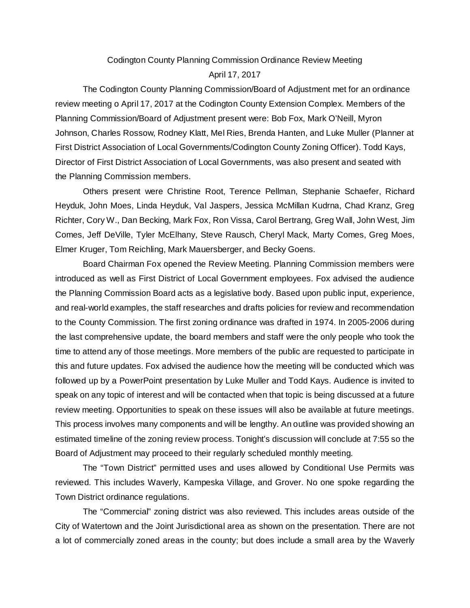## Codington County Planning Commission Ordinance Review Meeting

## April 17, 2017

The Codington County Planning Commission/Board of Adjustment met for an ordinance review meeting o April 17, 2017 at the Codington County Extension Complex. Members of the Planning Commission/Board of Adjustment present were: Bob Fox, Mark O'Neill, Myron Johnson, Charles Rossow, Rodney Klatt, Mel Ries, Brenda Hanten, and Luke Muller (Planner at First District Association of Local Governments/Codington County Zoning Officer). Todd Kays, Director of First District Association of Local Governments, was also present and seated with the Planning Commission members.

Others present were Christine Root, Terence Pellman, Stephanie Schaefer, Richard Heyduk, John Moes, Linda Heyduk, Val Jaspers, Jessica McMillan Kudrna, Chad Kranz, Greg Richter, Cory W., Dan Becking, Mark Fox, Ron Vissa, Carol Bertrang, Greg Wall, John West, Jim Comes, Jeff DeVille, Tyler McElhany, Steve Rausch, Cheryl Mack, Marty Comes, Greg Moes, Elmer Kruger, Tom Reichling, Mark Mauersberger, and Becky Goens.

Board Chairman Fox opened the Review Meeting. Planning Commission members were introduced as well as First District of Local Government employees. Fox advised the audience the Planning Commission Board acts as a legislative body. Based upon public input, experience, and real-world examples, the staff researches and drafts policies for review and recommendation to the County Commission. The first zoning ordinance was drafted in 1974. In 2005-2006 during the last comprehensive update, the board members and staff were the only people who took the time to attend any of those meetings. More members of the public are requested to participate in this and future updates. Fox advised the audience how the meeting will be conducted which was followed up by a PowerPoint presentation by Luke Muller and Todd Kays. Audience is invited to speak on any topic of interest and will be contacted when that topic is being discussed at a future review meeting. Opportunities to speak on these issues will also be available at future meetings. This process involves many components and will be lengthy. An outline was provided showing an estimated timeline of the zoning review process. Tonight's discussion will conclude at 7:55 so the Board of Adjustment may proceed to their regularly scheduled monthly meeting.

The "Town District" permitted uses and uses allowed by Conditional Use Permits was reviewed. This includes Waverly, Kampeska Village, and Grover. No one spoke regarding the Town District ordinance regulations.

The "Commercial" zoning district was also reviewed. This includes areas outside of the City of Watertown and the Joint Jurisdictional area as shown on the presentation. There are not a lot of commercially zoned areas in the county; but does include a small area by the Waverly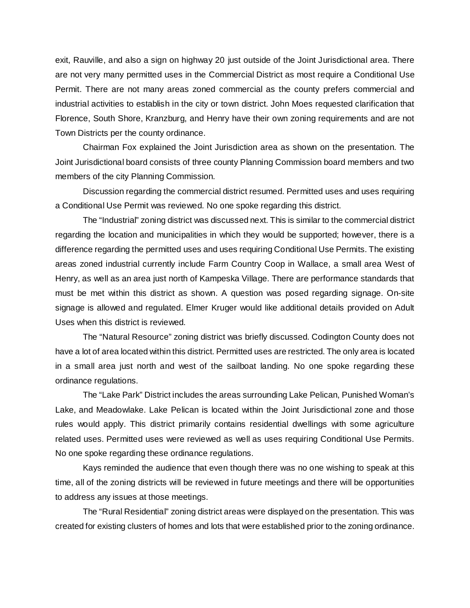exit, Rauville, and also a sign on highway 20 just outside of the Joint Jurisdictional area. There are not very many permitted uses in the Commercial District as most require a Conditional Use Permit. There are not many areas zoned commercial as the county prefers commercial and industrial activities to establish in the city or town district. John Moes requested clarification that Florence, South Shore, Kranzburg, and Henry have their own zoning requirements and are not Town Districts per the county ordinance.

Chairman Fox explained the Joint Jurisdiction area as shown on the presentation. The Joint Jurisdictional board consists of three county Planning Commission board members and two members of the city Planning Commission.

Discussion regarding the commercial district resumed. Permitted uses and uses requiring a Conditional Use Permit was reviewed. No one spoke regarding this district.

The "Industrial" zoning district was discussed next. This is similar to the commercial district regarding the location and municipalities in which they would be supported; however, there is a difference regarding the permitted uses and uses requiring Conditional Use Permits. The existing areas zoned industrial currently include Farm Country Coop in Wallace, a small area West of Henry, as well as an area just north of Kampeska Village. There are performance standards that must be met within this district as shown. A question was posed regarding signage. On-site signage is allowed and regulated. Elmer Kruger would like additional details provided on Adult Uses when this district is reviewed.

The "Natural Resource" zoning district was briefly discussed. Codington County does not have a lot of area located within this district. Permitted uses are restricted. The only area is located in a small area just north and west of the sailboat landing. No one spoke regarding these ordinance regulations.

The "Lake Park" District includes the areas surrounding Lake Pelican, Punished Woman's Lake, and Meadowlake. Lake Pelican is located within the Joint Jurisdictional zone and those rules would apply. This district primarily contains residential dwellings with some agriculture related uses. Permitted uses were reviewed as well as uses requiring Conditional Use Permits. No one spoke regarding these ordinance regulations.

Kays reminded the audience that even though there was no one wishing to speak at this time, all of the zoning districts will be reviewed in future meetings and there will be opportunities to address any issues at those meetings.

The "Rural Residential" zoning district areas were displayed on the presentation. This was created for existing clusters of homes and lots that were established prior to the zoning ordinance.